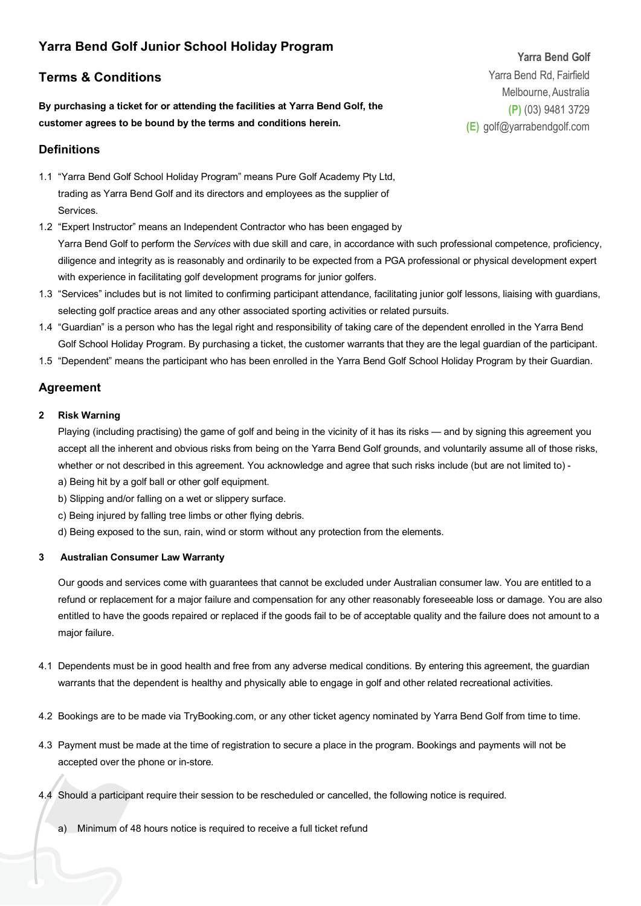# **Yarra Bend Golf Junior School Holiday Program**

## **Terms & Conditions**

**By purchasing a ticket for or attending the facilities at Yarra Bend Golf, the customer agrees to be bound by the terms and conditions herein.** 

### **Definitions**

- 1.1 "Yarra Bend Golf School Holiday Program" means Pure Golf Academy Pty Ltd, trading as Yarra Bend Golf and its directors and employees as the supplier of Services.
- 1.2 "Expert Instructor" means an Independent Contractor who has been engaged by Yarra Bend Golf to perform the *Services* with due skill and care, in accordance with such professional competence, proficiency, diligence and integrity as is reasonably and ordinarily to be expected from a PGA professional or physical development expert with experience in facilitating golf development programs for junior golfers.
- 1.3 "Services" includes but is not limited to confirming participant attendance, facilitating junior golf lessons, liaising with guardians, selecting golf practice areas and any other associated sporting activities or related pursuits.
- 1.4 "Guardian" is a person who has the legal right and responsibility of taking care of the dependent enrolled in the Yarra Bend Golf School Holiday Program. By purchasing a ticket, the customer warrants that they are the legal guardian of the participant.
- 1.5 "Dependent" means the participant who has been enrolled in the Yarra Bend Golf School Holiday Program by their Guardian.

### **Agreement**

#### **2 Risk Warning**

Playing (including practising) the game of golf and being in the vicinity of it has its risks — and by signing this agreement you accept all the inherent and obvious risks from being on the Yarra Bend Golf grounds, and voluntarily assume all of those risks, whether or not described in this agreement. You acknowledge and agree that such risks include (but are not limited to) -

- a) Being hit by a golf ball or other golf equipment.
- b) Slipping and/or falling on a wet or slippery surface.
- c) Being injured by falling tree limbs or other flying debris.
- d) Being exposed to the sun, rain, wind or storm without any protection from the elements.

#### **3 Australian Consumer Law Warranty**

Our goods and services come with guarantees that cannot be excluded under Australian consumer law. You are entitled to a refund or replacement for a major failure and compensation for any other reasonably foreseeable loss or damage. You are also entitled to have the goods repaired or replaced if the goods fail to be of acceptable quality and the failure does not amount to a major failure.

- 4.1 Dependents must be in good health and free from any adverse medical conditions. By entering this agreement, the guardian warrants that the dependent is healthy and physically able to engage in golf and other related recreational activities.
- 4.2 Bookings are to be made via TryBooking.com, or any other ticket agency nominated by Yarra Bend Golf from time to time.
- 4.3 Payment must be made at the time of registration to secure a place in the program. Bookings and payments will not be accepted over the phone or in-store.
- 4.4 Should a participant require their session to be rescheduled or cancelled, the following notice is required.
	- a) Minimum of 48 hours notice is required to receive a full ticket refund

**Yarra Bend Golf** Yarra Bend Rd, Fairfield Melbourne,Australia **(P)** (03) 9481 3729 **(E)** [golf@yarrabendgolf.com](mailto:golf@yarrabendgolf.com)